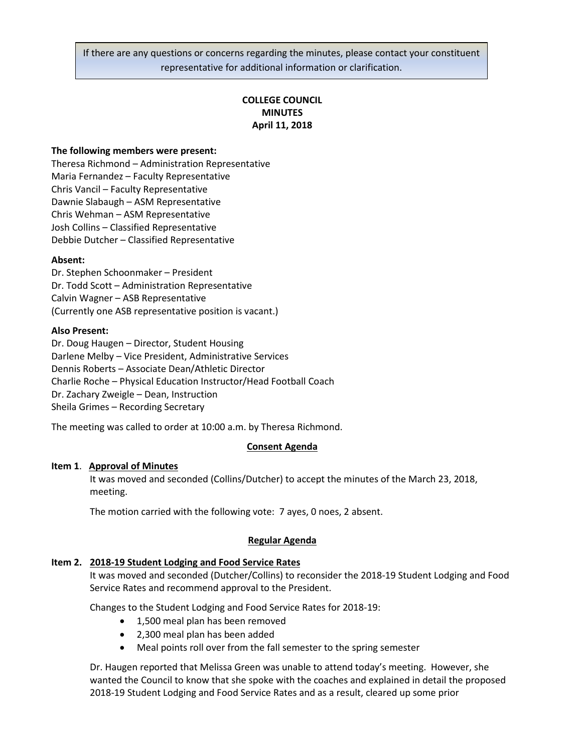If there are any questions or concerns regarding the minutes, please contact your constituent representative for additional information or clarification.

## **COLLEGE COUNCIL MINUTES April 11, 2018**

## **The following members were present:**

Theresa Richmond – Administration Representative Maria Fernandez – Faculty Representative Chris Vancil – Faculty Representative Dawnie Slabaugh – ASM Representative Chris Wehman – ASM Representative Josh Collins – Classified Representative Debbie Dutcher – Classified Representative

### **Absent:**

Dr. Stephen Schoonmaker – President Dr. Todd Scott – Administration Representative Calvin Wagner – ASB Representative (Currently one ASB representative position is vacant.)

### **Also Present:**

Dr. Doug Haugen – Director, Student Housing Darlene Melby – Vice President, Administrative Services Dennis Roberts – Associate Dean/Athletic Director Charlie Roche – Physical Education Instructor/Head Football Coach Dr. Zachary Zweigle – Dean, Instruction Sheila Grimes – Recording Secretary

The meeting was called to order at 10:00 a.m. by Theresa Richmond.

### **Consent Agenda**

## **Item 1**. **Approval of Minutes**

It was moved and seconded (Collins/Dutcher) to accept the minutes of the March 23, 2018, meeting.

The motion carried with the following vote: 7 ayes, 0 noes, 2 absent.

### **Regular Agenda**

### **Item 2. 2018-19 Student Lodging and Food Service Rates**

It was moved and seconded (Dutcher/Collins) to reconsider the 2018-19 Student Lodging and Food Service Rates and recommend approval to the President.

Changes to the Student Lodging and Food Service Rates for 2018-19:

- 1,500 meal plan has been removed
- 2,300 meal plan has been added
- Meal points roll over from the fall semester to the spring semester

Dr. Haugen reported that Melissa Green was unable to attend today's meeting. However, she wanted the Council to know that she spoke with the coaches and explained in detail the proposed 2018-19 Student Lodging and Food Service Rates and as a result, cleared up some prior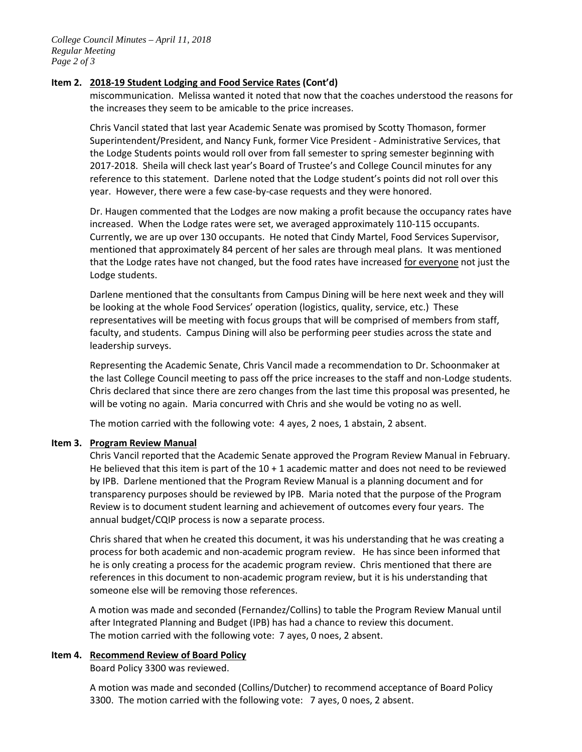## **Item 2. 2018-19 Student Lodging and Food Service Rates (Cont'd)**

miscommunication. Melissa wanted it noted that now that the coaches understood the reasons for the increases they seem to be amicable to the price increases.

Chris Vancil stated that last year Academic Senate was promised by Scotty Thomason, former Superintendent/President, and Nancy Funk, former Vice President - Administrative Services, that the Lodge Students points would roll over from fall semester to spring semester beginning with 2017-2018. Sheila will check last year's Board of Trustee's and College Council minutes for any reference to this statement. Darlene noted that the Lodge student's points did not roll over this year. However, there were a few case-by-case requests and they were honored.

Dr. Haugen commented that the Lodges are now making a profit because the occupancy rates have increased. When the Lodge rates were set, we averaged approximately 110-115 occupants. Currently, we are up over 130 occupants. He noted that Cindy Martel, Food Services Supervisor, mentioned that approximately 84 percent of her sales are through meal plans. It was mentioned that the Lodge rates have not changed, but the food rates have increased for everyone not just the Lodge students.

Darlene mentioned that the consultants from Campus Dining will be here next week and they will be looking at the whole Food Services' operation (logistics, quality, service, etc.) These representatives will be meeting with focus groups that will be comprised of members from staff, faculty, and students. Campus Dining will also be performing peer studies across the state and leadership surveys.

Representing the Academic Senate, Chris Vancil made a recommendation to Dr. Schoonmaker at the last College Council meeting to pass off the price increases to the staff and non-Lodge students. Chris declared that since there are zero changes from the last time this proposal was presented, he will be voting no again. Maria concurred with Chris and she would be voting no as well.

The motion carried with the following vote: 4 ayes, 2 noes, 1 abstain, 2 absent.

## **Item 3. Program Review Manual**

Chris Vancil reported that the Academic Senate approved the Program Review Manual in February. He believed that this item is part of the 10 + 1 academic matter and does not need to be reviewed by IPB. Darlene mentioned that the Program Review Manual is a planning document and for transparency purposes should be reviewed by IPB. Maria noted that the purpose of the Program Review is to document student learning and achievement of outcomes every four years. The annual budget/CQIP process is now a separate process.

Chris shared that when he created this document, it was his understanding that he was creating a process for both academic and non-academic program review. He has since been informed that he is only creating a process for the academic program review. Chris mentioned that there are references in this document to non-academic program review, but it is his understanding that someone else will be removing those references.

A motion was made and seconded (Fernandez/Collins) to table the Program Review Manual until after Integrated Planning and Budget (IPB) has had a chance to review this document. The motion carried with the following vote: 7 ayes, 0 noes, 2 absent.

## **Item 4. Recommend Review of Board Policy**

Board Policy 3300 was reviewed.

A motion was made and seconded (Collins/Dutcher) to recommend acceptance of Board Policy 3300. The motion carried with the following vote: 7 ayes, 0 noes, 2 absent.